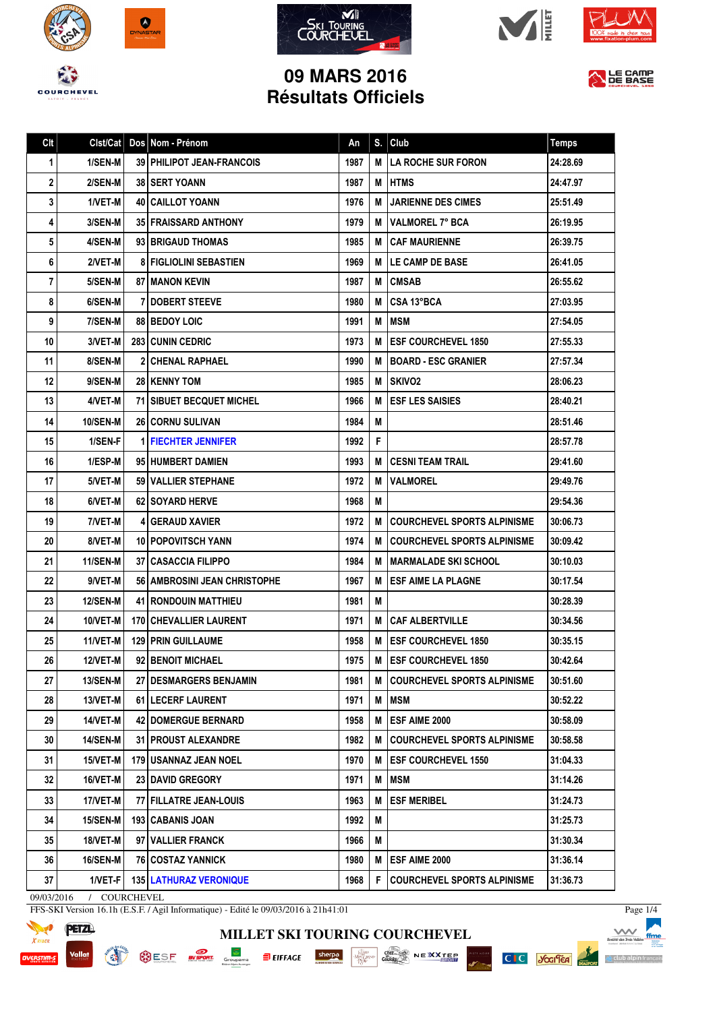









LE CAMP

## **09 MARS 2016 Résultats Officiels**

| Clt | Clst/Cat        | Dos Nom - Prénom                | An   |   | $S.$ Club                             | <b>Temps</b> |
|-----|-----------------|---------------------------------|------|---|---------------------------------------|--------------|
| 1   | 1/SEN-M         | 39 PHILIPOT JEAN-FRANCOIS       | 1987 |   | <b>M   LA ROCHE SUR FORON</b>         | 24:28.69     |
| 2   | 2/SEN-M         | <b>38 SERT YOANN</b>            | 1987 | М | <b>HTMS</b>                           | 24:47.97     |
| 3   | 1/VET-M         | <b>40   CAILLOT YOANN</b>       | 1976 | м | <b>JARIENNE DES CIMES</b>             | 25:51.49     |
| 4   | 3/SEN-M         | 35 FRAISSARD ANTHONY            | 1979 |   | M VALMOREL 7° BCA                     | 26:19.95     |
| 5   | 4/SEN-M         | 93 BRIGAUD THOMAS               | 1985 | м | CAF MAURIENNE                         | 26:39.75     |
| 6   | 2/VET-M         | <b>8 FIGLIOLINI SEBASTIEN</b>   | 1969 |   | <b>M ILE CAMP DE BASE</b>             | 26:41.05     |
| 7   | 5/SEN-M         | <b>87   MANON KEVIN</b>         | 1987 | M | <b>ICMSAB</b>                         | 26:55.62     |
| 8   | 6/SEN-M         | <b>DOBERT STEEVE</b>            | 1980 | М | l CSA 13°BCA                          | 27:03.95     |
| 9   | 7/SEN-M         | <b>88 BEDOY LOIC</b>            | 1991 | м | I MSM                                 | 27:54.05     |
| 10  | 3/VET-M         | <b>283 CUNIN CEDRIC</b>         | 1973 | M | <b>ESF COURCHEVEL 1850</b>            | 27:55.33     |
| 11  | 8/SEN-M         | <b>2 CHENAL RAPHAEL</b>         | 1990 | м | <b>IBOARD - ESC GRANIER</b>           | 27:57.34     |
| 12  | 9/SEN-M         | <b>28   KENNY TOM</b>           | 1985 | м | <b>ISKIVO2</b>                        | 28:06.23     |
| 13  | 4/VET-M         | <b>71 SIBUET BECQUET MICHEL</b> | 1966 | М | <b>ESF LES SAISIES</b>                | 28:40.21     |
| 14  | <b>10/SEN-M</b> | <b>26 CORNU SULIVAN</b>         | 1984 | м |                                       | 28:51.46     |
| 15  | 1/SEN-F         | <b>1 FIECHTER JENNIFER</b>      | 1992 | F |                                       | 28:57.78     |
| 16  | 1/ESP-M         | 95 HUMBERT DAMIEN               | 1993 |   | <b>M   CESNI TEAM TRAIL</b>           | 29:41.60     |
| 17  | 5/VET-M         | 59 VALLIER STEPHANE             | 1972 | М | <b> VALMOREL</b>                      | 29:49.76     |
| 18  | 6/VET-M         | 62   SOYARD HERVE               | 1968 | M |                                       | 29:54.36     |
| 19  | 7/VET-M         | <b>41 GERAUD XAVIER</b>         | 1972 | М | <b>COURCHEVEL SPORTS ALPINISME</b>    | 30:06.73     |
| 20  | 8/VET-M         | <b>10 POPOVITSCH YANN</b>       | 1974 |   | <b>M ICOURCHEVEL SPORTS ALPINISME</b> | 30:09.42     |
| 21  | 11/SEN-M        | <b>37   CASACCIA FILIPPO</b>    | 1984 | м | I MARMALADE SKI SCHOOL                | 30:10.03     |
| 22  | 9/VET-M         | 56   AMBROSINI JEAN CHRISTOPHE  | 1967 | м | ESF AIME LA PLAGNE                    | 30:17.54     |
| 23  | <b>12/SEN-M</b> | <b>41   RONDOUIN MATTHIEU</b>   | 1981 | М |                                       | 30:28.39     |
| 24  | 10/VET-M        | <b>170 CHEVALLIER LAURENT</b>   | 1971 | M | <b>I CAF ALBERTVILLE</b>              | 30:34.56     |
| 25  | 11/VET-M        | <b>129 PRIN GUILLAUME</b>       | 1958 | М | <b>IESF COURCHEVEL 1850</b>           | 30:35.15     |
| 26  | 12/VET-M        | 92 BENOIT MICHAEL               | 1975 |   | <b>M LESF COURCHEVEL 1850</b>         | 30:42.64     |
| 27  | 13/SEN-M        | 27 DESMARGERS BENJAMIN          | 1981 |   | M COURCHEVEL SPORTS ALPINISME         | 30:51.60     |
| 28  | 13/VET-M        | 61 LECERF LAURENT               | 1971 | M | <b>MSM</b>                            | 30:52.22     |
| 29  | 14/VET-M        | <b>42   DOMERGUE BERNARD</b>    | 1958 | M | <b>ESF AIME 2000</b>                  | 30:58.09     |
| 30  | <b>14/SEN-M</b> | <b>31 PROUST ALEXANDRE</b>      | 1982 | M | <b>COURCHEVEL SPORTS ALPINISME</b>    | 30:58.58     |
| 31  | 15/VET-M        | 179   USANNAZ JEAN NOEL         | 1970 | M | <b>IESF COURCHEVEL 1550</b>           | 31:04.33     |
| 32  | 16/VET-M        | 23 DAVID GREGORY                | 1971 | M | <b>MSM</b>                            | 31:14.26     |
| 33  | 17/VET-M        | 77 FILLATRE JEAN-LOUIS          | 1963 | M | <b>ESF MERIBEL</b>                    | 31:24.73     |
| 34  | <b>15/SEN-M</b> | 193   CABANIS JOAN              | 1992 | М |                                       | 31:25.73     |
| 35  | 18/VET-M        | 97   VALLIER FRANCK             | 1966 | M |                                       | 31:30.34     |
| 36  | 16/SEN-M        | 76   COSTAZ YANNICK             | 1980 | M | <b>ESF AIME 2000</b>                  | 31:36.14     |
| 37  | 1/VET-F         | <b>135 LATHURAZ VERONIQUE</b>   | 1968 | F | <b>COURCHEVEL SPORTS ALPINISME</b>    | 31:36.73     |

**MILLET SKI TOURING COURCHEVEL**

SESE EVERY Groupma ELIFFACE Sherpa State Construction of the Construction of the Construction of the Construction of the Construction of the Construction of the Construction of the Construction of the Construction of the C

09/03/2016 / COURCHEVEL

FFS-SKI Version 16.1h (E.S.F. / Agil Informatique) - Edité le 09/03/2016 à 21h41:01



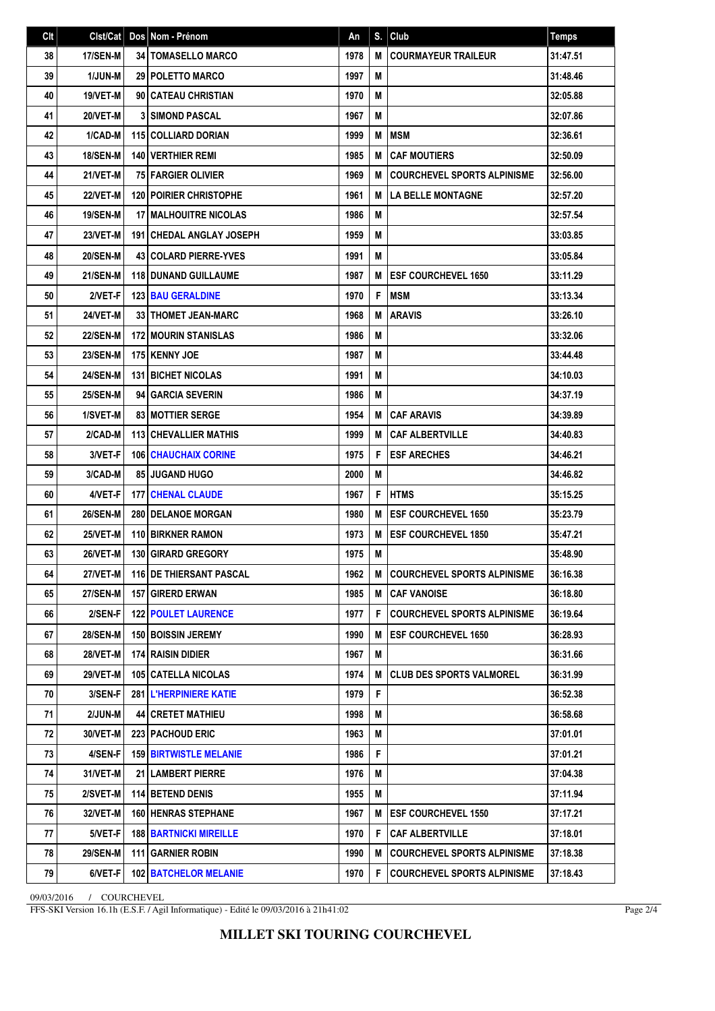| Clt | Clst/Cat        | Dos Nom - Prénom                  | An   | S. | Club                               | <b>Temps</b> |
|-----|-----------------|-----------------------------------|------|----|------------------------------------|--------------|
| 38  | 17/SEN-M        | <b>34   TOMASELLO MARCO</b>       | 1978 | M  | <b>COURMAYEUR TRAILEUR</b>         | 31:47.51     |
| 39  | <b>1/JUN-M</b>  | 29 POLETTO MARCO                  | 1997 | M  |                                    | 31:48.46     |
| 40  | 19/VET-M        | 90 CATEAU CHRISTIAN               | 1970 | M  |                                    | 32:05.88     |
| 41  | 20/VET-M        | <b>3 SIMOND PASCAL</b>            | 1967 | M  |                                    | 32:07.86     |
| 42  | 1/CAD-M         | <b>115 COLLIARD DORIAN</b>        | 1999 | M  | <b>MSM</b>                         | 32:36.61     |
| 43  | <b>18/SEN-M</b> | <b>140   VERTHIER REMI</b>        | 1985 | M  | <b>CAF MOUTIERS</b>                | 32:50.09     |
| 44  | 21/VET-M        | <b>75 FARGIER OLIVIER</b>         | 1969 | M  | <b>COURCHEVEL SPORTS ALPINISME</b> | 32:56.00     |
| 45  | 22/VET-M        | <b>120 POIRIER CHRISTOPHE</b>     | 1961 | M  | <b>LA BELLE MONTAGNE</b>           | 32:57.20     |
| 46  | 19/SEN-M        | <b>17 I MALHOUITRE NICOLAS</b>    | 1986 | M  |                                    | 32:57.54     |
| 47  | 23/VET-M        | <b>191   CHEDAL ANGLAY JOSEPH</b> | 1959 | M  |                                    | 33:03.85     |
| 48  | <b>20/SEN-M</b> | <b>43 COLARD PIERRE-YVES</b>      | 1991 | M  |                                    | 33:05.84     |
| 49  | <b>21/SEN-M</b> | <b>118 DUNAND GUILLAUME</b>       | 1987 | M  | <b>ESF COURCHEVEL 1650</b>         | 33:11.29     |
| 50  | 2/VET-F         | <b>123 BAU GERALDINE</b>          | 1970 | F  | <b>IMSM</b>                        | 33:13.34     |
| 51  | 24/VET-M        | <b>33   THOMET JEAN-MARC</b>      | 1968 | M  | <b>ARAVIS</b>                      | 33:26.10     |
| 52  | <b>22/SEN-M</b> | <b>172 MOURIN STANISLAS</b>       | 1986 | M  |                                    | 33:32.06     |
| 53  | <b>23/SEN-M</b> | <b>175 KENNY JOE</b>              | 1987 | M  |                                    | 33:44.48     |
| 54  | <b>24/SEN-M</b> | <b>131 BICHET NICOLAS</b>         | 1991 | M  |                                    | 34:10.03     |
| 55  | <b>25/SEN-M</b> | 94 GARCIA SEVERIN                 | 1986 | M  |                                    | 34:37.19     |
| 56  | 1/SVET-M        | <b>83 MOTTIER SERGE</b>           | 1954 | M  | <b>CAF ARAVIS</b>                  | 34:39.89     |
| 57  | 2/CAD-M         | <b>113 CHEVALLIER MATHIS</b>      | 1999 | M  | <b>CAF ALBERTVILLE</b>             | 34:40.83     |
| 58  | 3/VET-F         | <b>106 CHAUCHAIX CORINE</b>       | 1975 | F  | <b>ESF ARECHES</b>                 | 34:46.21     |
| 59  | 3/CAD-M         | 85 JUGAND HUGO                    | 2000 | M  |                                    | 34:46.82     |
| 60  | 4/VET-F         | <b>177 CHENAL CLAUDE</b>          | 1967 | F  | <b>HTMS</b>                        | 35:15.25     |
| 61  | <b>26/SEN-M</b> | 280 DELANOE MORGAN                | 1980 | М  | <b>ESF COURCHEVEL 1650</b>         | 35:23.79     |
| 62  | 25/VET-M        | <b>110 BIRKNER RAMON</b>          | 1973 | M  | <b>ESF COURCHEVEL 1850</b>         | 35:47.21     |
| 63  | 26/VET-M        | 130 GIRARD GREGORY                | 1975 | M  |                                    | 35:48.90     |
| 64  | <b>27/VET-M</b> | <b>116 DE THIERSANT PASCAL</b>    | 1962 |    | M COURCHEVEL SPORTS ALPINISME      | 36:16.38     |
| 65  | <b>27/SEN-M</b> | <b>157 GIRERD ERWAN</b>           | 1985 | M  | <b>CAF VANOISE</b>                 | 36:18.80     |
| 66  | 2/SEN-F         | <b>122 POULET LAURENCE</b>        | 1977 | F  | <b>COURCHEVEL SPORTS ALPINISME</b> | 36:19.64     |
| 67  | <b>28/SEN-M</b> | 150 BOISSIN JEREMY                | 1990 | М  | <b>IESF COURCHEVEL 1650</b>        | 36:28.93     |
| 68  | <b>28/VET-M</b> | 174 RAISIN DIDIER                 | 1967 | M  |                                    | 36:31.66     |
| 69  | 29/VET-M        | <b>105 CATELLA NICOLAS</b>        | 1974 | M  | I CLUB DES SPORTS VALMOREL         | 36:31.99     |
| 70  | 3/SEN-F         | <b>281 L'HERPINIERE KATIE</b>     | 1979 | F  |                                    | 36:52.38     |
| 71  | 2/JUN-M         | 44 CRETET MATHIEU                 | 1998 | M  |                                    | 36:58.68     |
| 72  | 30/VET-M        | 223 PACHOUD ERIC                  | 1963 | M  |                                    | 37:01.01     |
| 73  | 4/SEN-F         | <b>159 BIRTWISTLE MELANIE</b>     | 1986 | F  |                                    | 37:01.21     |
| 74  | 31/VET-M        | 21 LAMBERT PIERRE                 | 1976 | М  |                                    | 37:04.38     |
| 75  | 2/SVET-M        | <b>114 BETEND DENIS</b>           | 1955 | М  |                                    | 37:11.94     |
| 76  | 32/VET-M        | 160 HENRAS STEPHANE               | 1967 | М  | <b>IESF COURCHEVEL 1550</b>        | 37:17.21     |
| 77  | 5/VET-F         | <b>188 BARTNICKI MIREILLE</b>     | 1970 | F  | <b>CAF ALBERTVILLE</b>             | 37:18.01     |
| 78  | <b>29/SEN-M</b> | 111 GARNIER ROBIN                 | 1990 | M  | <b>COURCHEVEL SPORTS ALPINISME</b> | 37:18.38     |
| 79  | 6/VET-F         | 102 BATCHELOR MELANIE             | 1970 | F  | <b>COURCHEVEL SPORTS ALPINISME</b> | 37:18.43     |

09/03/2016 / COURCHEVEL

FFS-SKI Version 16.1h (E.S.F. / Agil Informatique) - Edité le 09/03/2016 à 21h41:02

Page 2/4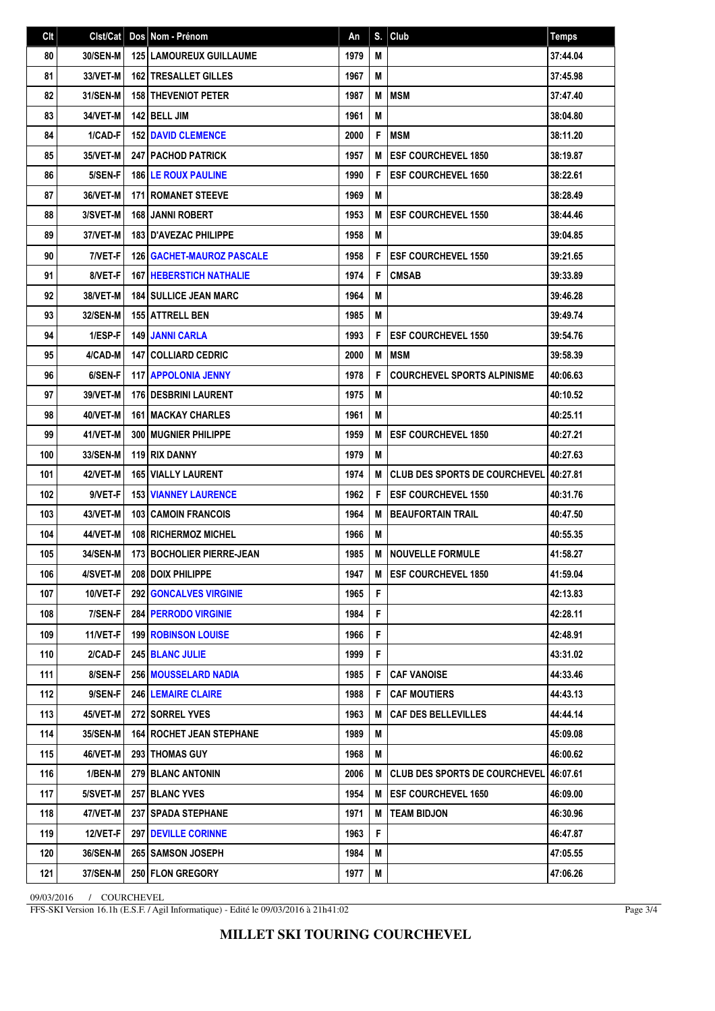| Clt | Clst/Cat        | Dos Nom - Prénom                   | An   | S. | Club                                   | <b>Temps</b> |
|-----|-----------------|------------------------------------|------|----|----------------------------------------|--------------|
| 80  | 30/SEN-M        | <b>125 LAMOUREUX GUILLAUME</b>     | 1979 | M  |                                        | 37:44.04     |
| 81  | 33/VET-M        | <b>162 ITRESALLET GILLES</b>       | 1967 | M  |                                        | 37:45.98     |
| 82  | 31/SEN-M        | <b>158 THEVENIOT PETER</b>         | 1987 | M  | <b>MSM</b>                             | 37:47.40     |
| 83  | 34/VET-M        | 142 BELL JIM                       | 1961 | M  |                                        | 38:04.80     |
| 84  | 1/CAD-F         | <b>152 DAVID CLEMENCE</b>          | 2000 | F  | <b>MSM</b>                             | 38:11.20     |
| 85  | 35/VET-M        | <b>247   PACHOD PATRICK</b>        | 1957 | M  | <b>ESF COURCHEVEL 1850</b>             | 38:19.87     |
| 86  | 5/SEN-F         | <b>186 ILE ROUX PAULINE</b>        | 1990 | F  | <b>ESF COURCHEVEL 1650</b>             | 38:22.61     |
| 87  | 36/VET-M        | <b>171 ROMANET STEEVE</b>          | 1969 | M  |                                        | 38:28.49     |
| 88  | 3/SVET-M        | <b>168 JANNI ROBERT</b>            | 1953 | M  | <b>ESF COURCHEVEL 1550</b>             | 38:44.46     |
| 89  | 37/VET-M        | <b>183 D'AVEZAC PHILIPPE</b>       | 1958 | M  |                                        | 39:04.85     |
| 90  | 7/VET-F         | <b>126   GACHET-MAUROZ PASCALE</b> | 1958 | F  | <b>ESF COURCHEVEL 1550</b>             | 39:21.65     |
| 91  | 8/VET-F         | <b>167   HEBERSTICH NATHALIE</b>   | 1974 | F  | <b>CMSAB</b>                           | 39:33.89     |
| 92  | 38/VET-M        | <b>184 SULLICE JEAN MARC</b>       | 1964 | M  |                                        | 39:46.28     |
| 93  | <b>32/SEN-M</b> | 155 ATTRELL BEN                    | 1985 | M  |                                        | 39:49.74     |
| 94  | 1/ESP-F         | <b>149 JANNI CARLA</b>             | 1993 | F  | <b>ESF COURCHEVEL 1550</b>             | 39:54.76     |
| 95  | 4/CAD-M         | <b>147   COLLIARD CEDRIC</b>       | 2000 | M  | <b>MSM</b>                             | 39:58.39     |
| 96  | 6/SEN-F         | <b>117 APPOLONIA JENNY</b>         | 1978 | F  | <b>COURCHEVEL SPORTS ALPINISME</b>     | 40:06.63     |
| 97  | 39/VET-M        | 176 DESBRINI LAURENT               | 1975 | M  |                                        | 40:10.52     |
| 98  | 40/VET-M        | <b>161 I MACKAY CHARLES</b>        | 1961 | M  |                                        | 40:25.11     |
| 99  | 41/VET-M        | <b>300   MUGNIER PHILIPPE</b>      | 1959 | M  | <b>ESF COURCHEVEL 1850</b>             | 40:27.21     |
| 100 | 33/SEN-M        | 119 RIX DANNY                      | 1979 | M  |                                        | 40:27.63     |
| 101 | 42/VET-M        | <b>165 VIALLY LAURENT</b>          | 1974 | M  | CLUB DES SPORTS DE COURCHEVEL 40:27.81 |              |
| 102 | 9/VET-F         | <b>153 VIANNEY LAURENCE</b>        | 1962 | F  | <b>ESF COURCHEVEL 1550</b>             | 40:31.76     |
| 103 | 43/VET-M        | <b>103 CAMOIN FRANCOIS</b>         | 1964 | M  | <b>BEAUFORTAIN TRAIL</b>               | 40:47.50     |
| 104 | 44/VET-M        | <b>108 RICHERMOZ MICHEL</b>        | 1966 | M  |                                        | 40:55.35     |
| 105 | 34/SEN-M        | <b>173 BOCHOLIER PIERRE-JEAN</b>   | 1985 | M  | <b>NOUVELLE FORMULE</b>                | 41:58.27     |
| 106 | 4/SVET-M        | 208 DOIX PHILIPPE                  | 1947 | M  | <b>ESF COURCHEVEL 1850</b>             | 41:59.04     |
| 107 | 10/VET-F        | <b>292   GONCALVES VIRGINIE</b>    | 1965 | F  |                                        | 42:13.83     |
| 108 | 7/SEN-F         | <b>284 PERRODO VIRGINIE</b>        | 1984 | F  |                                        | 42:28.11     |
| 109 | 11/VET-F        | <b>199 ROBINSON LOUISE</b>         | 1966 | F  |                                        | 42:48.91     |
| 110 | 2/CAD-F         | 245 BLANC JULIE                    | 1999 | F  |                                        | 43:31.02     |
| 111 | 8/SEN-F         | 256 MOUSSELARD NADIA               | 1985 | F  | <b>CAF VANOISE</b>                     | 44:33.46     |
| 112 | 9/SEN-F         | <b>246 LEMAIRE CLAIRE</b>          | 1988 | F  | <b>CAF MOUTIERS</b>                    | 44:43.13     |
| 113 | 45/VET-M        | 272 SORREL YVES                    | 1963 | M  | <b>CAF DES BELLEVILLES</b>             | 44:44.14     |
| 114 | 35/SEN-M        | <b>164 ROCHET JEAN STEPHANE</b>    | 1989 | M  |                                        | 45:09.08     |
| 115 | 46/VET-M        | <b>293   THOMAS GUY</b>            | 1968 | M  |                                        | 46:00.62     |
| 116 | 1/BEN-M         | <b>279 BLANC ANTONIN</b>           | 2006 | M  | <b>CLUB DES SPORTS DE COURCHEVEL</b>   | 46:07.61     |
| 117 | 5/SVET-M        | 257 BLANC YVES                     | 1954 | M  | <b>ESF COURCHEVEL 1650</b>             | 46:09.00     |
| 118 | 47/VET-M        | 237 SPADA STEPHANE                 | 1971 | M  | <b>TEAM BIDJON</b>                     | 46:30.96     |
| 119 | 12/VET-F        | <b>297 DEVILLE CORINNE</b>         | 1963 | F  |                                        | 46:47.87     |
| 120 | <b>36/SEN-M</b> | 265 SAMSON JOSEPH                  | 1984 | Μ  |                                        | 47:05.55     |
| 121 | 37/SEN-M        | 250 FLON GREGORY                   | 1977 | M  |                                        | 47:06.26     |

09/03/2016 / COURCHEVEL

FFS-SKI Version 16.1h (E.S.F. / Agil Informatique) - Edité le 09/03/2016 à 21h41:02

Page 3/4